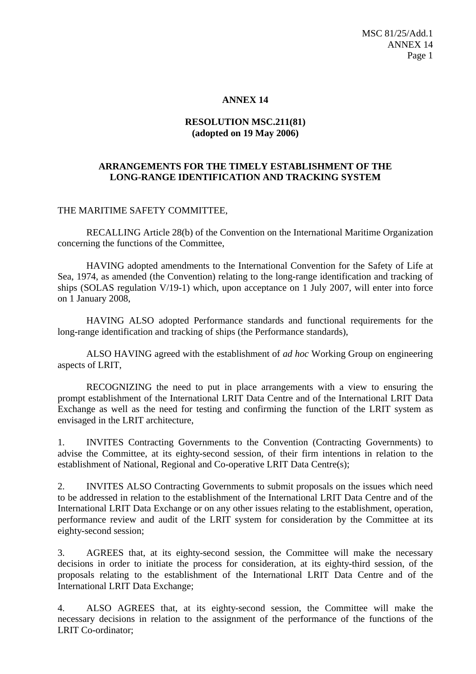## **ANNEX 14**

## **RESOLUTION MSC.211(81) (adopted on 19 May 2006)**

## **ARRANGEMENTS FOR THE TIMELY ESTABLISHMENT OF THE LONG-RANGE IDENTIFICATION AND TRACKING SYSTEM**

## THE MARITIME SAFETY COMMITTEE,

RECALLING Article 28(b) of the Convention on the International Maritime Organization concerning the functions of the Committee,

HAVING adopted amendments to the International Convention for the Safety of Life at Sea, 1974, as amended (the Convention) relating to the long-range identification and tracking of ships (SOLAS regulation V/19-1) which, upon acceptance on 1 July 2007, will enter into force on 1 January 2008,

HAVING ALSO adopted Performance standards and functional requirements for the long-range identification and tracking of ships (the Performance standards),

ALSO HAVING agreed with the establishment of *ad hoc* Working Group on engineering aspects of LRIT,

RECOGNIZING the need to put in place arrangements with a view to ensuring the prompt establishment of the International LRIT Data Centre and of the International LRIT Data Exchange as well as the need for testing and confirming the function of the LRIT system as envisaged in the LRIT architecture,

1. INVITES Contracting Governments to the Convention (Contracting Governments) to advise the Committee, at its eighty-second session, of their firm intentions in relation to the establishment of National, Regional and Co-operative LRIT Data Centre(s);

2. INVITES ALSO Contracting Governments to submit proposals on the issues which need to be addressed in relation to the establishment of the International LRIT Data Centre and of the International LRIT Data Exchange or on any other issues relating to the establishment, operation, performance review and audit of the LRIT system for consideration by the Committee at its eighty-second session;

3. AGREES that, at its eighty-second session, the Committee will make the necessary decisions in order to initiate the process for consideration, at its eighty-third session, of the proposals relating to the establishment of the International LRIT Data Centre and of the International LRIT Data Exchange;

4. ALSO AGREES that, at its eighty-second session, the Committee will make the necessary decisions in relation to the assignment of the performance of the functions of the LRIT Co-ordinator;